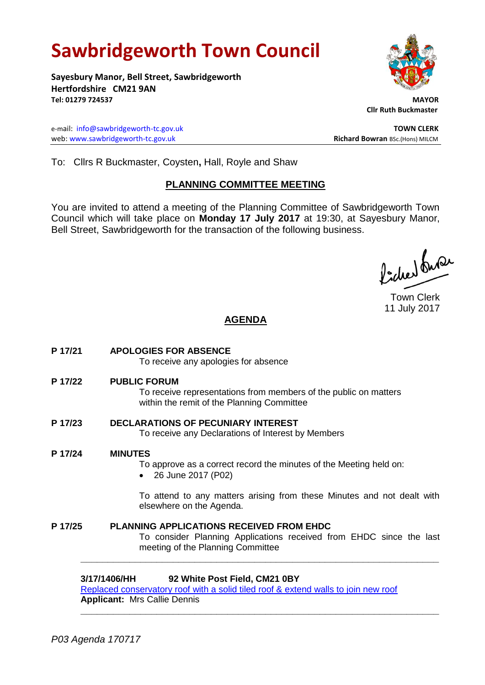# **Sawbridgeworth Town Council**

**Sayesbury Manor, Bell Street, Sawbridgeworth Hertfordshire CM21 9AN Tel: 01279 724537 MAYOR**

e-mail: [info@sawbridgeworth-tc.gov.uk](mailto:info@sawbridgeworth-tc.gov.uk) **TOWN CLERK** web: www.sawbridgeworth-tc.gov.uk<br> **Richard Bowran** BSc.(Hons) MILCM



 **Cllr Ruth Buckmaster** 

To: Cllrs R Buckmaster, Coysten**,** Hall, Royle and Shaw

## **PLANNING COMMITTEE MEETING**

You are invited to attend a meeting of the Planning Committee of Sawbridgeworth Town Council which will take place on **Monday 17 July 2017** at 19:30, at Sayesbury Manor, Bell Street, Sawbridgeworth for the transaction of the following business.

ladres buse

Town Clerk 11 July 2017

# **AGENDA**

- **P 17/21 APOLOGIES FOR ABSENCE** To receive any apologies for absence **P 17/22 PUBLIC FORUM** To receive representations from members of the public on matters within the remit of the Planning Committee **P 17/23 DECLARATIONS OF PECUNIARY INTEREST** To receive any Declarations of Interest by Members **P 17/24 MINUTES** To approve as a correct record the minutes of the Meeting held on: 26 June 2017 (P02) To attend to any matters arising from these Minutes and not dealt with elsewhere on the Agenda. **P 17/25 PLANNING APPLICATIONS RECEIVED FROM EHDC**
	- To consider Planning Applications received from EHDC since the last meeting of the Planning Committee

## **3/17/1406/HH 92 White Post Field, CM21 0BY**

[Replaced conservatory roof with a solid tiled roof & extend walls to join new roof](https://publicaccess.eastherts.gov.uk/online-applications/applicationDetails.do?activeTab=summary&keyVal=ORMZZ7GLH9Y00) **Applicant:** Mrs Callie Dennis

**\_\_\_\_\_\_\_\_\_\_\_\_\_\_\_\_\_\_\_\_\_\_\_\_\_\_\_\_\_\_\_\_\_\_\_\_\_\_\_\_\_\_\_\_\_\_\_\_\_\_\_\_\_\_\_\_\_\_\_\_\_\_\_\_\_\_**

**\_\_\_\_\_\_\_\_\_\_\_\_\_\_\_\_\_\_\_\_\_\_\_\_\_\_\_\_\_\_\_\_\_\_\_\_\_\_\_\_\_\_\_\_\_\_\_\_\_\_\_\_\_\_\_\_\_\_\_\_\_\_\_\_\_\_**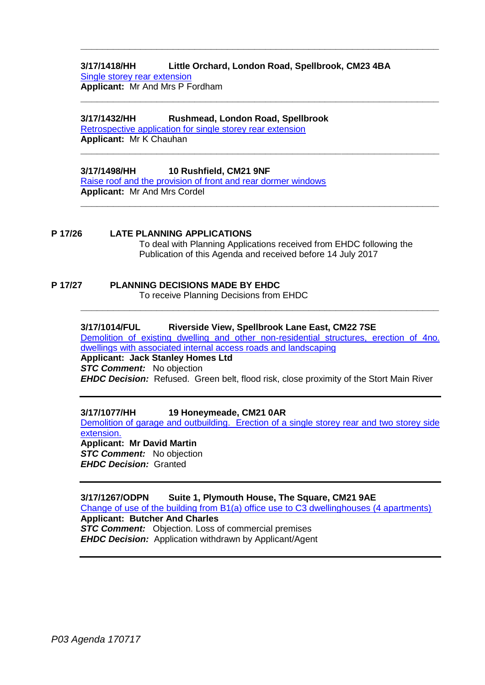#### **3/17/1418/HH Little Orchard, London Road, Spellbrook, CM23 4BA** [Single storey rear extension](https://publicaccess.eastherts.gov.uk/online-applications/applicationDetails.do?activeTab=summary&keyVal=ORSF46GL00X00) **Applicant:** Mr And Mrs P Fordham

**\_\_\_\_\_\_\_\_\_\_\_\_\_\_\_\_\_\_\_\_\_\_\_\_\_\_\_\_\_\_\_\_\_\_\_\_\_\_\_\_\_\_\_\_\_\_\_\_\_\_\_\_\_\_\_\_\_\_\_\_\_\_\_\_\_\_**

**\_\_\_\_\_\_\_\_\_\_\_\_\_\_\_\_\_\_\_\_\_\_\_\_\_\_\_\_\_\_\_\_\_\_\_\_\_\_\_\_\_\_\_\_\_\_\_\_\_\_\_\_\_\_\_\_\_\_\_\_\_\_\_\_\_\_**

**\_\_\_\_\_\_\_\_\_\_\_\_\_\_\_\_\_\_\_\_\_\_\_\_\_\_\_\_\_\_\_\_\_\_\_\_\_\_\_\_\_\_\_\_\_\_\_\_\_\_\_\_\_\_\_\_\_\_\_\_\_\_\_\_\_\_**

**\_\_\_\_\_\_\_\_\_\_\_\_\_\_\_\_\_\_\_\_\_\_\_\_\_\_\_\_\_\_\_\_\_\_\_\_\_\_\_\_\_\_\_\_\_\_\_\_\_\_\_\_\_\_\_\_\_\_\_\_\_\_\_\_\_\_**

#### **3/17/1432/HH Rushmead, London Road, Spellbrook**

[Retrospective application for single storey rear extension](https://publicaccess.eastherts.gov.uk/online-applications/applicationDetails.do?activeTab=summary&keyVal=ORUEMKGLHBG00) **Applicant:** Mr K Chauhan

#### **3/17/1498/HH 10 Rushfield, CM21 9NF**

[Raise roof and the provision of front and rear dormer windows](https://publicaccess.eastherts.gov.uk/online-applications/applicationDetails.do?activeTab=summary&keyVal=OS7DBYGLHG300) **Applicant:** Mr And Mrs Cordel

#### **P 17/26 LATE PLANNING APPLICATIONS**

To deal with Planning Applications received from EHDC following the Publication of this Agenda and received before 14 July 2017

# **P 17/27 PLANNING DECISIONS MADE BY EHDC**

To receive Planning Decisions from EHDC

#### **3/17/1014/FUL Riverside View, Spellbrook Lane East, CM22 7SE**

[Demolition of existing dwelling and other non-residential structures, erection of 4no.](https://publicaccess.eastherts.gov.uk/online-applications/applicationDetails.do?activeTab=summary&keyVal=OP2EO3GLGLE00)  [dwellings with associated internal access roads and landscaping](https://publicaccess.eastherts.gov.uk/online-applications/applicationDetails.do?activeTab=summary&keyVal=OP2EO3GLGLE00)

**\_\_\_\_\_\_\_\_\_\_\_\_\_\_\_\_\_\_\_\_\_\_\_\_\_\_\_\_\_\_\_\_\_\_\_\_\_\_\_\_\_\_\_\_\_\_\_\_\_\_\_\_\_\_\_\_\_\_\_\_\_\_\_\_\_\_**

#### **Applicant: Jack Stanley Homes Ltd** *STC Comment:* No objection *EHDC Decision:* Refused. Green belt, flood risk, close proximity of the Stort Main River

#### **3/17/1077/HH 19 Honeymeade, CM21 0AR**

[Demolition of garage and outbuilding. Erection of a single storey rear and two storey side](https://publicaccess.eastherts.gov.uk/online-applications/applicationDetails.do?activeTab=summary&keyVal=OPMS01GLGPE00)  [extension.](https://publicaccess.eastherts.gov.uk/online-applications/applicationDetails.do?activeTab=summary&keyVal=OPMS01GLGPE00) **Applicant: Mr David Martin** *STC Comment:* No objection

*EHDC Decision:* Granted

**3/17/1267/ODPN Suite 1, Plymouth House, The Square, CM21 9AE** [Change of use of the building from B1\(a\) office use](https://publicaccess.eastherts.gov.uk/online-applications/applicationDetails.do?activeTab=summary&keyVal=OQRTQ0GL00X00) to C3 dwellinghouses (4 apartments) **Applicant: Butcher And Charles STC Comment:** Objection. Loss of commercial premises *EHDC Decision:* Application withdrawn by Applicant/Agent